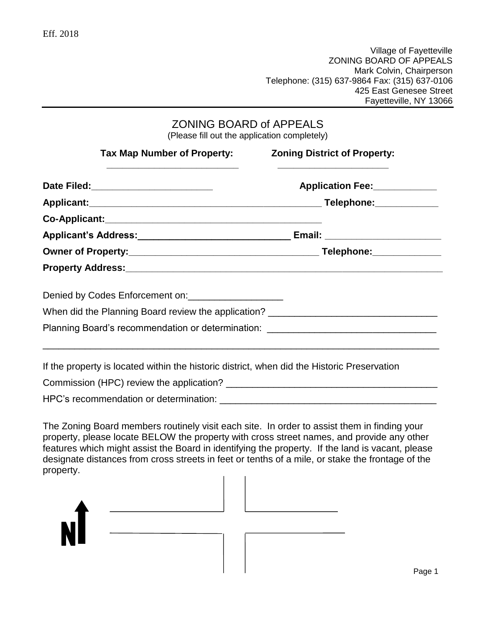Village of Fayetteville ZONING BOARD OF APPEALS Mark Colvin, Chairperson Telephone: (315) 637-9864 Fax: (315) 637-0106 425 East Genesee Street Fayetteville, NY 13066

| <b>ZONING BOARD of APPEALS</b>               |  |
|----------------------------------------------|--|
| (Please fill out the application completely) |  |

| Tax Map Number of Property:                                                                 | <b>Zoning District of Property:</b> |
|---------------------------------------------------------------------------------------------|-------------------------------------|
|                                                                                             | Application Fee: ____________       |
|                                                                                             |                                     |
|                                                                                             |                                     |
|                                                                                             |                                     |
|                                                                                             |                                     |
|                                                                                             |                                     |
| Denied by Codes Enforcement on:                                                             |                                     |
| When did the Planning Board review the application? ____________________________            |                                     |
| Planning Board's recommendation or determination: ______________________________            |                                     |
| If the property is located within the historic district, when did the Historic Preservation |                                     |
|                                                                                             |                                     |
|                                                                                             |                                     |

The Zoning Board members routinely visit each site. In order to assist them in finding your property, please locate BELOW the property with cross street names, and provide any other features which might assist the Board in identifying the property. If the land is vacant, please designate distances from cross streets in feet or tenths of a mile, or stake the frontage of the property.

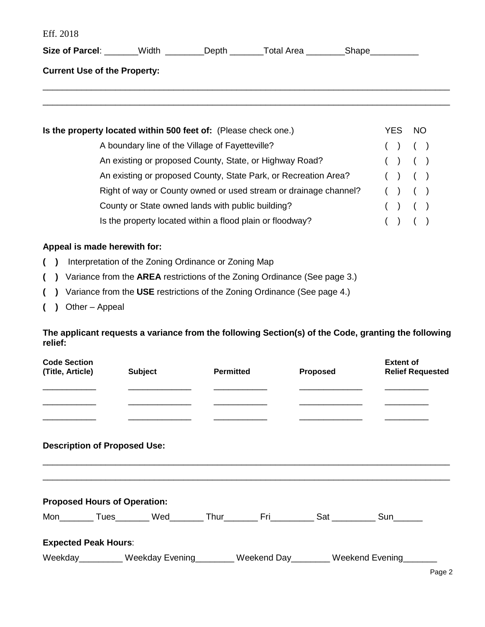Eff. 2018

| Size of Parcel: _______Width _________Depth ________Total Area ________Shape _________ |                                                         |      |      |
|----------------------------------------------------------------------------------------|---------------------------------------------------------|------|------|
| <b>Current Use of the Property:</b>                                                    |                                                         |      |      |
|                                                                                        |                                                         |      |      |
|                                                                                        |                                                         |      |      |
| Is the property located within 500 feet of: (Please check one.)                        |                                                         | YES. | - NO |
|                                                                                        | A boundary line of the Village of Fayetteville?         |      |      |
|                                                                                        | An existing or proposed County, State, or Highway Road? |      |      |

|                                                                  |  | $\mathbf{v}$ |  |
|------------------------------------------------------------------|--|--------------|--|
| An existing or proposed County, State Park, or Recreation Area?  |  | ( ) ( )      |  |
| Right of way or County owned or used stream or drainage channel? |  | ( ) ( )      |  |
| County or State owned lands with public building?                |  | ( ) ( )      |  |
| Is the property located within a flood plain or floodway?        |  | ( ) ( )      |  |

## **Appeal is made herewith for:**

- **( )** Interpretation of the Zoning Ordinance or Zoning Map
- **( )** Variance from the **AREA** restrictions of the Zoning Ordinance (See page 3.)
- **( )** Variance from the **USE** restrictions of the Zoning Ordinance (See page 4.)
- **( )** Other Appeal

## **The applicant requests a variance from the following Section(s) of the Code, granting the following relief:**

| <b>Code Section</b><br>(Title, Article) | <b>Subject</b>                                                                            | <b>Permitted</b> | <b>Proposed</b> | <b>Extent of</b><br><b>Relief Requested</b> |
|-----------------------------------------|-------------------------------------------------------------------------------------------|------------------|-----------------|---------------------------------------------|
| <b>Description of Proposed Use:</b>     |                                                                                           |                  |                 |                                             |
| <b>Proposed Hours of Operation:</b>     |                                                                                           |                  |                 |                                             |
|                                         | Mon__________Tues_________Wed________Thur__________Fri__________Sat ___________Sun_______ |                  |                 |                                             |
| <b>Expected Peak Hours:</b>             |                                                                                           |                  |                 |                                             |
|                                         | Weekday_________ Weekday Evening_______ Weekend Day_______ Weekend Evening______          |                  |                 |                                             |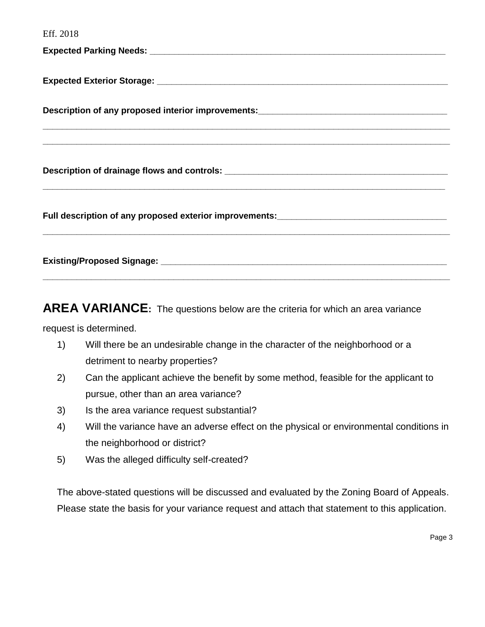Eff. 2018 **Expected Parking Needs: Expected Parking Needs: Expected Parking Needs: Expected Parking Needs: Parking Service Expected Exterior Storage: Exterior Storage: Expected Exterior Storage: Description of any proposed interior improvements: \_\_\_\_\_\_\_\_\_\_\_\_\_\_\_\_\_\_\_\_\_\_\_\_\_\_\_\_\_\_\_\_\_\_\_\_\_\_\_\_\_\_\_\_\_\_\_\_\_\_\_\_\_\_\_\_\_\_\_\_\_\_\_\_\_\_\_\_\_\_\_\_\_\_\_\_\_\_\_\_\_\_\_\_ \_\_\_\_\_\_\_\_\_\_\_\_\_\_\_\_\_\_\_\_\_\_\_\_\_\_\_\_\_\_\_\_\_\_\_\_\_\_\_\_\_\_\_\_\_\_\_\_\_\_\_\_\_\_\_\_\_\_\_\_\_\_\_\_\_\_\_\_\_\_\_\_\_\_\_\_\_\_\_\_\_\_\_\_ Description of drainage flows and controls: \_\_\_\_\_\_\_\_\_\_\_\_\_\_\_\_\_\_\_\_\_\_\_\_\_\_\_\_\_\_\_\_\_\_\_\_\_\_\_\_\_\_\_\_\_\_ \_\_\_\_\_\_\_\_\_\_\_\_\_\_\_\_\_\_\_\_\_\_\_\_\_\_\_\_\_\_\_\_\_\_\_\_\_\_\_\_\_\_\_\_\_\_\_\_\_\_\_\_\_\_\_\_\_\_\_\_\_\_\_\_\_\_\_\_\_\_\_\_\_\_\_\_\_\_\_\_\_\_\_ Full description of any proposed exterior improvements:\_\_\_\_\_\_\_\_\_\_\_\_\_\_\_\_\_\_\_\_\_\_\_\_\_\_\_\_\_\_\_\_\_\_\_ \_\_\_\_\_\_\_\_\_\_\_\_\_\_\_\_\_\_\_\_\_\_\_\_\_\_\_\_\_\_\_\_\_\_\_\_\_\_\_\_\_\_\_\_\_\_\_\_\_\_\_\_\_\_\_\_\_\_\_\_\_\_\_\_\_\_\_\_\_\_\_\_\_\_\_\_\_\_\_\_\_\_\_\_**

**AREA VARIANCE:** The questions below are the criteria for which an area variance

**Existing/Proposed Signage: \_\_\_\_\_\_\_\_\_\_\_\_\_\_\_\_\_\_\_\_\_\_\_\_\_\_\_\_\_\_\_\_\_\_\_\_\_\_\_\_\_\_\_\_\_\_\_\_\_\_\_\_\_\_\_\_\_\_\_**

**\_\_\_\_\_\_\_\_\_\_\_\_\_\_\_\_\_\_\_\_\_\_\_\_\_\_\_\_\_\_\_\_\_\_\_\_\_\_\_\_\_\_\_\_\_\_\_\_\_\_\_\_\_\_\_\_\_\_\_\_\_\_\_\_\_\_\_\_\_\_\_\_\_\_\_\_\_\_\_\_\_\_\_\_**

request is determined.

- 1) Will there be an undesirable change in the character of the neighborhood or a detriment to nearby properties?
- 2) Can the applicant achieve the benefit by some method, feasible for the applicant to pursue, other than an area variance?
- 3) Is the area variance request substantial?
- 4) Will the variance have an adverse effect on the physical or environmental conditions in the neighborhood or district?
- 5) Was the alleged difficulty self-created?

The above-stated questions will be discussed and evaluated by the Zoning Board of Appeals. Please state the basis for your variance request and attach that statement to this application.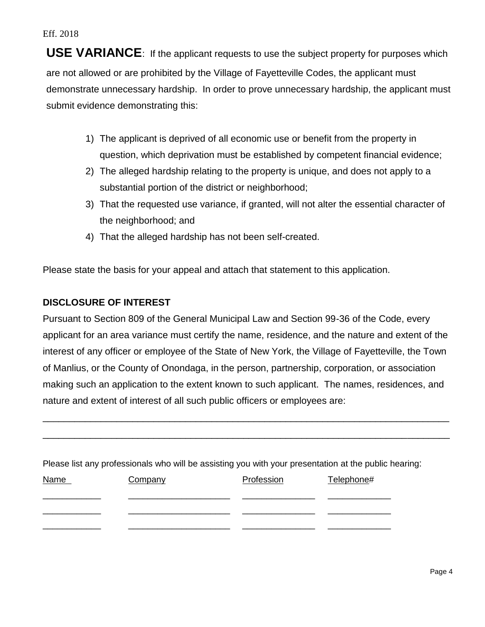Eff. 2018

**USE VARIANCE**: If the applicant requests to use the subject property for purposes which are not allowed or are prohibited by the Village of Fayetteville Codes, the applicant must demonstrate unnecessary hardship. In order to prove unnecessary hardship, the applicant must submit evidence demonstrating this:

- 1) The applicant is deprived of all economic use or benefit from the property in question, which deprivation must be established by competent financial evidence;
- 2) The alleged hardship relating to the property is unique, and does not apply to a substantial portion of the district or neighborhood;
- 3) That the requested use variance, if granted, will not alter the essential character of the neighborhood; and
- 4) That the alleged hardship has not been self-created.

Please state the basis for your appeal and attach that statement to this application.

## **DISCLOSURE OF INTEREST**

Pursuant to Section 809 of the General Municipal Law and Section 99-36 of the Code, every applicant for an area variance must certify the name, residence, and the nature and extent of the interest of any officer or employee of the State of New York, the Village of Fayetteville, the Town of Manlius, or the County of Onondaga, in the person, partnership, corporation, or association making such an application to the extent known to such applicant. The names, residences, and nature and extent of interest of all such public officers or employees are:

\_\_\_\_\_\_\_\_\_\_\_\_\_\_\_\_\_\_\_\_\_\_\_\_\_\_\_\_\_\_\_\_\_\_\_\_\_\_\_\_\_\_\_\_\_\_\_\_\_\_\_\_\_\_\_\_\_\_\_\_\_\_\_\_\_\_\_\_\_\_\_\_\_\_\_\_\_

\_\_\_\_\_\_\_\_\_\_\_\_\_\_\_\_\_\_\_\_\_\_\_\_\_\_\_\_\_\_\_\_\_\_\_\_\_\_\_\_\_\_\_\_\_\_\_\_\_\_\_\_\_\_\_\_\_\_\_\_\_\_\_\_\_\_\_\_\_\_\_\_\_\_\_\_\_

Please list any professionals who will be assisting you with your presentation at the public hearing:

| <b>Name</b> | Company | Profession | Telephone# |
|-------------|---------|------------|------------|
|             |         |            |            |
|             |         |            |            |
|             |         |            |            |